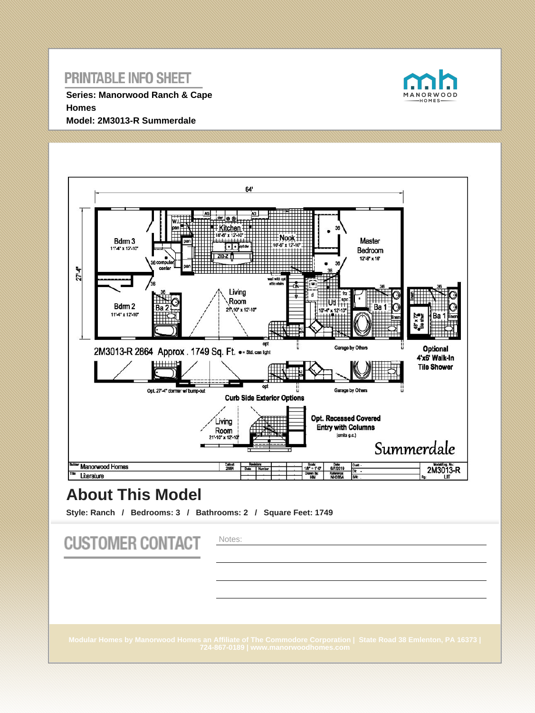**Series: Manorwood Ranch & Cape Homes Model: 2M3013-R Summerdale**





# **About This Model**

**Style: Ranch / Bedrooms: 3 / Bathrooms: 2 / Square Feet: 1749**

| <b>CUSTOMER CONTACT</b> | Notes:                                                                                                                                                   |
|-------------------------|----------------------------------------------------------------------------------------------------------------------------------------------------------|
|                         | Modular Homes by Manorwood Homes an Affiliate of The Commodore Corporation   State Road 38 Emlenton, PA 16373  <br>724-867-0189   www.manorwoodhomes.com |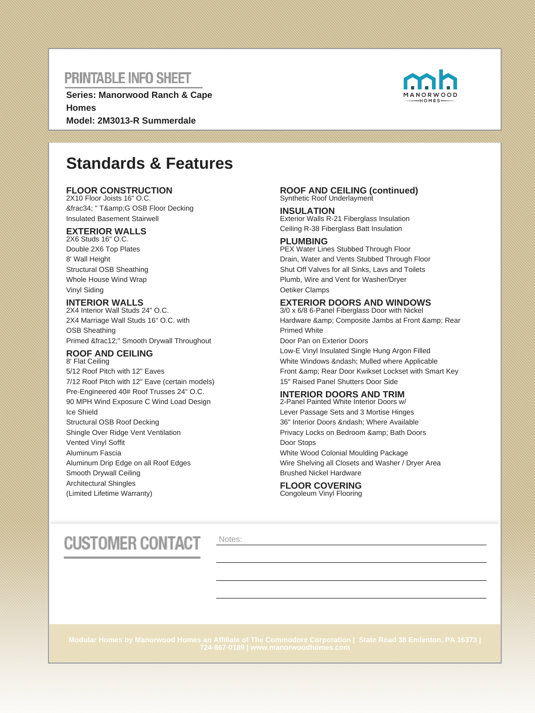**Series: Manorwood Ranch & Cape Homes Model: 2M3013-R Summerdale**



# **Standards & Features**

### **FLOOR CONSTRUCTION**

2X10 Floor Joists 16" O.C. ¾ " T&G OSB Floor Decking Insulated Basement Stairwell

### **EXTERIOR WALLS**

2X6 Studs 16" O.C. Double 2X6 Top Plates 8' Wall Height Structural OSB Sheathing Whole House Wind Wrap Vinyl Siding

### **INTERIOR WALLS**

2X4 Interior Wall Studs 24" O.C. 2X4 Marriage Wall Studs 16" O.C. with OSB Sheathing Primed ½" Smooth Drywall Throughout

#### **ROOF AND CEILING** 8' Flat Ceiling

5/12 Roof Pitch with 12" Eaves 7/12 Roof Pitch with 12" Eave (certain models) Pre-Engineered 40# Roof Trusses 24" O.C. 90 MPH Wind Exposure C Wind Load Design Ice Shield Structural OSB Roof Decking Shingle Over Ridge Vent Ventilation Vented Vinyl Soffit Aluminum Fascia Aluminum Drip Edge on all Roof Edges Smooth Drywall Ceiling Architectural Shingles (Limited Lifetime Warranty)

#### **ROOF AND CEILING (continued)** Synthetic Roof Underlayment

**INSULATION** Exterior Walls R-21 Fiberglass Insulation Ceiling R-38 Fiberglass Batt Insulation

### **PLUMBING**

PEX Water Lines Stubbed Through Floor Drain, Water and Vents Stubbed Through Floor Shut Off Valves for all Sinks, Lavs and Toilets Plumb, Wire and Vent for Washer/Dryer Oetiker Clamps

### **EXTERIOR DOORS AND WINDOWS**

3/0 x 6/8 6-Panel Fiberglass Door with Nickel Hardware & amp; Composite Jambs at Front & amp; Rear Primed White Door Pan on Exterior Doors Low-E Vinyl Insulated Single Hung Argon Filled White Windows & ndash; Mulled where Applicable Front & amp: Rear Door Kwikset Lockset with Smart Key

15" Raised Panel Shutters Door Side

### **INTERIOR DOORS AND TRIM**

2-Panel Painted White Interior Doors w/ Lever Passage Sets and 3 Mortise Hinges 36" Interior Doors – Where Available Privacy Locks on Bedroom & amp; Bath Doors Door Stops White Wood Colonial Moulding Package Wire Shelving all Closets and Washer / Dryer Area Brushed Nickel Hardware

#### **FLOOR COVERING** Congoleum Vinyl Flooring

# **CUSTOMER CONTACT**

Notes: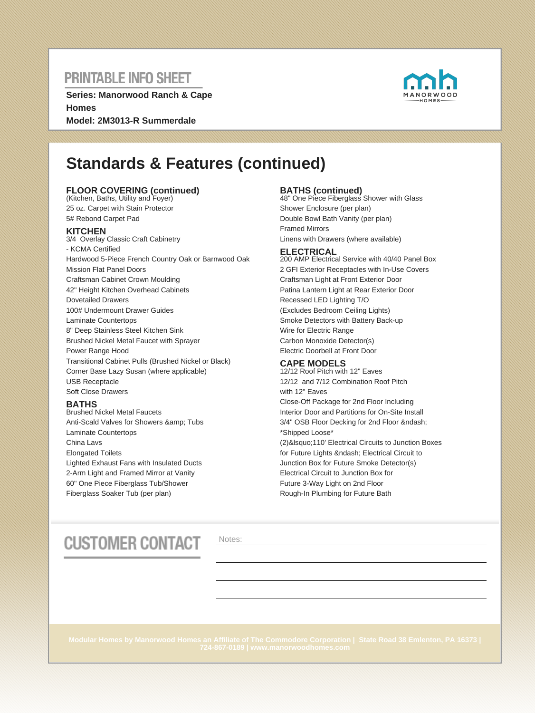**Series: Manorwood Ranch & Cape Homes Model: 2M3013-R Summerdale**



# **Standards & Features (continued)**

### **FLOOR COVERING (continued)** (Kitchen, Baths, Utility and Foyer)

25 oz. Carpet with Stain Protector 5# Rebond Carpet Pad

### **KITCHEN**

3/4 Overlay Classic Craft Cabinetry - KCMA Certified Hardwood 5-Piece French Country Oak or Barnwood Oak Mission Flat Panel Doors Craftsman Cabinet Crown Moulding 42" Height Kitchen Overhead Cabinets Dovetailed Drawers 100# Undermount Drawer Guides Laminate Countertops 8" Deep Stainless Steel Kitchen Sink Brushed Nickel Metal Faucet with Sprayer Power Range Hood Transitional Cabinet Pulls (Brushed Nickel or Black) Corner Base Lazy Susan (where applicable) USB Receptacle Soft Close Drawers

### **BATHS**

Brushed Nickel Metal Faucets Anti-Scald Valves for Showers & amp; Tubs Laminate Countertops China Lavs Elongated Toilets Lighted Exhaust Fans with Insulated Ducts 2-Arm Light and Framed Mirror at Vanity 60" One Piece Fiberglass Tub/Shower Fiberglass Soaker Tub (per plan)

**BATHS (continued)** 48" One Piece Fiberglass Shower with Glass Shower Enclosure (per plan) Double Bowl Bath Vanity (per plan) Framed Mirrors Linens with Drawers (where available)

#### **ELECTRICAL**

200 AMP Electrical Service with 40/40 Panel Box 2 GFI Exterior Receptacles with In-Use Covers Craftsman Light at Front Exterior Door Patina Lantern Light at Rear Exterior Door Recessed LED Lighting T/O (Excludes Bedroom Ceiling Lights) Smoke Detectors with Battery Back-up Wire for Electric Range Carbon Monoxide Detector(s) Electric Doorbell at Front Door

### **CAPE MODELS**

12/12 Roof Pitch with 12" Eaves 12/12 and 7/12 Combination Roof Pitch with 12" Eaves Close-Off Package for 2nd Floor Including Interior Door and Partitions for On-Site Install 3/4" OSB Floor Decking for 2nd Floor – \*Shipped Loose\* (2)&Isquo;110' Electrical Circuits to Junction Boxes for Future Lights – Electrical Circuit to Junction Box for Future Smoke Detector(s) Electrical Circuit to Junction Box for Future 3-Way Light on 2nd Floor Rough-In Plumbing for Future Bath

# **CUSTOMER CONTACT**

Notes: